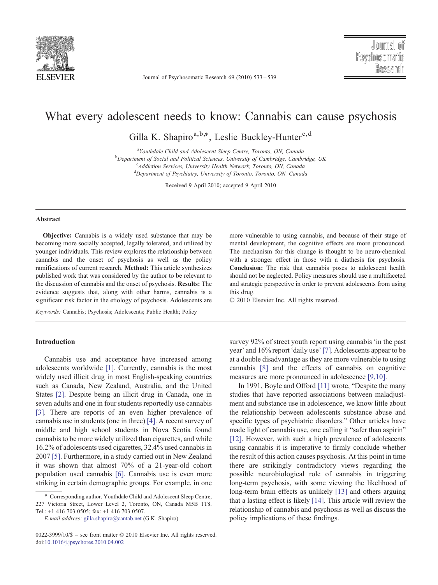

Journal of Psychosomatic Research 69 (2010) 533–539

# What every adolescent needs to know: Cannabis can cause psychosis

Gilla K. Shapiro<sup>a,b,\*</sup>, Leslie Buckley-Hunter<sup>c,d</sup>

<sup>a</sup>Youthdale Child and Adolescent Sleep Centre, Toronto, ON, Canada <sup>a</sup>Youthdale Child and Adolescent Sleep Centre, Toronto, ON, Canada<br><sup>b</sup>Donauturant of Social and Political Sciences, University of Cambridge, Cambr Department of Social and Political Sciences, University of Cambridge, Cambridge, UK<br>Canada Services, University Health Naturek, Toronto, ON, Canada <sup>c</sup>Addiction Services, University Health Network, Toronto, ON, Canada <sup>d</sup>Department of Psychiatry, University of Toronto, Toronto, ON, Canada

Received 9 April 2010; accepted 9 April 2010

### Abstract

Objective: Cannabis is a widely used substance that may be becoming more socially accepted, legally tolerated, and utilized by younger individuals. This review explores the relationship between cannabis and the onset of psychosis as well as the policy ramifications of current research. Method: This article synthesizes published work that was considered by the author to be relevant to the discussion of cannabis and the onset of psychosis. Results: The evidence suggests that, along with other harms, cannabis is a significant risk factor in the etiology of psychosis. Adolescents are

Keywords: Cannabis; Psychosis; Adolescents; Public Health; Policy

# Introduction

Cannabis use and acceptance have increased among adolescents worldwide [\[1\]](#page-4-0). Currently, cannabis is the most widely used illicit drug in most English-speaking countries such as Canada, New Zealand, Australia, and the United States [\[2\]](#page-4-0). Despite being an illicit drug in Canada, one in seven adults and one in four students reportedly use cannabis [\[3\].](#page-4-0) There are reports of an even higher prevalence of cannabis use in students (one in three) [\[4\].](#page-4-0) A recent survey of middle and high school students in Nova Scotia found cannabis to be more widely utilized than cigarettes, and while 16.2% of adolescents used cigarettes, 32.4% used cannabis in 2007 [\[5\].](#page-4-0) Furthermore, in a study carried out in New Zealand it was shown that almost 70% of a 21-year-old cohort population used cannabis [\[6\].](#page-4-0) Cannabis use is even more striking in certain demographic groups. For example, in one

more vulnerable to using cannabis, and because of their stage of mental development, the cognitive effects are more pronounced. The mechanism for this change is thought to be neuro-chemical with a stronger effect in those with a diathesis for psychosis. Conclusion: The risk that cannabis poses to adolescent health should not be neglected. Policy measures should use a multifaceted and strategic perspective in order to prevent adolescents from using this drug.

© 2010 Elsevier Inc. All rights reserved.

survey 92% of street youth report using cannabis 'in the past year' and 16% report 'daily use' [\[7\].](#page-5-0) Adolescents appear to be at a double disadvantage as they are more vulnerable to using cannabis [\[8\]](#page-5-0) and the effects of cannabis on cognitive measures are more pronounced in adolescence [\[9,10\]](#page-5-0).

In 1991, Boyle and Offord [\[11\]](#page-5-0) wrote, "Despite the many studies that have reported associations between maladjustment and substance use in adolescence, we know little about the relationship between adolescents substance abuse and specific types of psychiatric disorders." Other articles have made light of cannabis use, one calling it "safer than aspirin" [\[12\].](#page-5-0) However, with such a high prevalence of adolescents using cannabis it is imperative to firmly conclude whether the result of this action causes psychosis. At this point in time there are strikingly contradictory views regarding the possible neurobiological role of cannabis in triggering long-term psychosis, with some viewing the likelihood of long-term brain effects as unlikely [\[13\]](#page-5-0) and others arguing that a lasting effect is likely [\[14\]](#page-5-0). This article will review the relationship of cannabis and psychosis as well as discuss the policy implications of these findings.

<sup>⁎</sup> Corresponding author. Youthdale Child and Adolescent Sleep Centre, 227 Victoria Street, Lower Level 2, Toronto, ON, Canada M5B 1T8. Tel.: +1 416 703 0505; fax: +1 416 703 0507.

E-mail address: [gilla.shapiro@cantab.net](mailto:gilla.shapiro@cantab.net) (G.K. Shapiro).

<sup>0022-3999/10/\$</sup> – see front matter © 2010 Elsevier Inc. All rights reserved. doi[:10.1016/j.jpsychores.2010.04.002](http://dx.doi.org/10.1016/j.jpsychores.2010.04.002)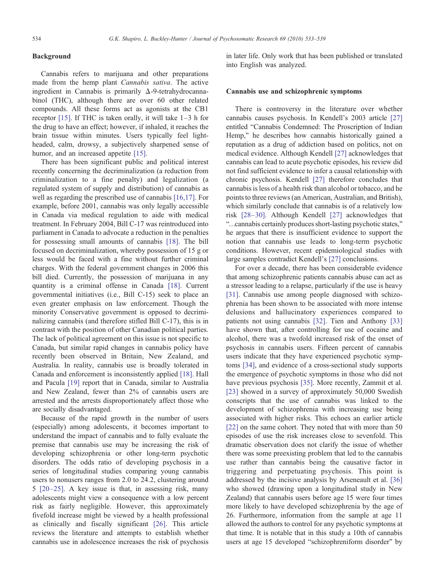# Background

Cannabis refers to marijuana and other preparations made from the hemp plant Cannabis sativa. The active ingredient in Cannabis is primarily  $\Delta$ -9-tetrahydrocannabinol (THC), although there are over 60 other related compounds. All these forms act as agonists at the CB1 receptor [\[15\].](#page-5-0) If THC is taken orally, it will take 1–3 h for the drug to have an effect; however, if inhaled, it reaches the brain tissue within minutes. Users typically feel lightheaded, calm, drowsy, a subjectively sharpened sense of humor, and an increased appetite [\[15\].](#page-5-0)

There has been significant public and political interest recently concerning the decriminalization (a reduction from criminalization to a fine penalty) and legalization (a regulated system of supply and distribution) of cannabis as well as regarding the prescribed use of cannabis [\[16,17\]](#page-5-0). For example, before 2001, cannabis was only legally accessible in Canada via medical regulation to aide with medical treatment. In February 2004, Bill C-17 was reintroduced into parliament in Canada to advocate a reduction in the penalties for possessing small amounts of cannabis [\[18\].](#page-5-0) The bill focused on decriminalization, whereby possession of 15 g or less would be faced with a fine without further criminal charges. With the federal government changes in 2006 this bill died. Currently, the possession of marijuana in any quantity is a criminal offense in Canada [\[18\]](#page-5-0). Current governmental initiatives (i.e., Bill C-15) seek to place an even greater emphasis on law enforcement. Though the minority Conservative government is opposed to decriminalizing cannabis (and therefore stifled Bill C-17), this is in contrast with the position of other Canadian political parties. The lack of political agreement on this issue is not specific to Canada, but similar rapid changes in cannabis policy have recently been observed in Britain, New Zealand, and Australia. In reality, cannabis use is broadly tolerated in Canada and enforcement is inconsistently applied [\[18\].](#page-5-0) Hall and Pacula [\[19\]](#page-5-0) report that in Canada, similar to Australia and New Zealand, fewer than 2% of cannabis users are arrested and the arrests disproportionately affect those who are socially disadvantaged.

Because of the rapid growth in the number of users (especially) among adolescents, it becomes important to understand the impact of cannabis and to fully evaluate the premise that cannabis use may be increasing the risk of developing schizophrenia or other long-term psychotic disorders. The odds ratio of developing psychosis in a series of longitudinal studies comparing young cannabis users to nonusers ranges from 2.0 to 24.2, clustering around 5 [20–[25\]](#page-5-0). A key issue is that, in assessing risk, many adolescents might view a consequence with a low percent risk as fairly negligible. However, this approximately fivefold increase might be viewed by a health professional as clinically and fiscally significant [\[26\].](#page-5-0) This article reviews the literature and attempts to establish whether cannabis use in adolescence increases the risk of psychosis

in later life. Only work that has been published or translated into English was analyzed.

#### Cannabis use and schizophrenic symptoms

There is controversy in the literature over whether cannabis causes psychosis. In Kendell's 2003 article [\[27\]](#page-5-0) entitled "Cannabis Condemned: The Proscription of Indian Hemp," he describes how cannabis historically gained a reputation as a drug of addiction based on politics, not on medical evidence. Although Kendell [\[27\]](#page-5-0) acknowledges that cannabis can lead to acute psychotic episodes, his review did not find sufficient evidence to infer a causal relationship with chronic psychosis. Kendell [\[27\]](#page-5-0) therefore concludes that cannabis is less of a health risk than alcohol or tobacco, and he points to three reviews (an American, Australian, and British), which similarly conclude that cannabis is of a relatively low risk [\[28](#page-5-0)–30]. Although Kendell [\[27\]](#page-5-0) acknowledges that "…cannabis certainly produces short-lasting psychotic states," he argues that there is insufficient evidence to support the notion that cannabis use leads to long-term psychotic conditions. However, recent epidemiological studies with large samples contradict Kendell's [\[27\]](#page-5-0) conclusions.

For over a decade, there has been considerable evidence that among schizophrenic patients cannabis abuse can act as a stressor leading to a relapse, particularly if the use is heavy [\[31\]](#page-5-0). Cannabis use among people diagnosed with schizophrenia has been shown to be associated with more intense delusions and hallucinatory experiences compared to patients not using cannabis [\[32\]](#page-5-0). Tien and Anthony [\[33\]](#page-5-0) have shown that, after controlling for use of cocaine and alcohol, there was a twofold increased risk of the onset of psychosis in cannabis users. Fifteen percent of cannabis users indicate that they have experienced psychotic symptoms [\[34\],](#page-5-0) and evidence of a cross-sectional study supports the emergence of psychotic symptoms in those who did not have previous psychosis [\[35\]](#page-5-0). More recently, Zammit et al. [\[23\]](#page-5-0) showed in a survey of approximately 50,000 Swedish conscripts that the use of cannabis was linked to the development of schizophrenia with increasing use being associated with higher risks. This echoes an earlier article [\[22\]](#page-5-0) on the same cohort. They noted that with more than 50 episodes of use the risk increases close to sevenfold. This dramatic observation does not clarify the issue of whether there was some preexisting problem that led to the cannabis use rather than cannabis being the causative factor in triggering and perpetuating psychosis. This point is addressed by the incisive analysis by Arseneault et al. [\[36\]](#page-5-0) who showed (drawing upon a longitudinal study in New Zealand) that cannabis users before age 15 were four times more likely to have developed schizophrenia by the age of 26. Furthermore, information from the sample at age 11 allowed the authors to control for any psychotic symptoms at that time. It is notable that in this study a 10th of cannabis users at age 15 developed "schizophreniform disorder" by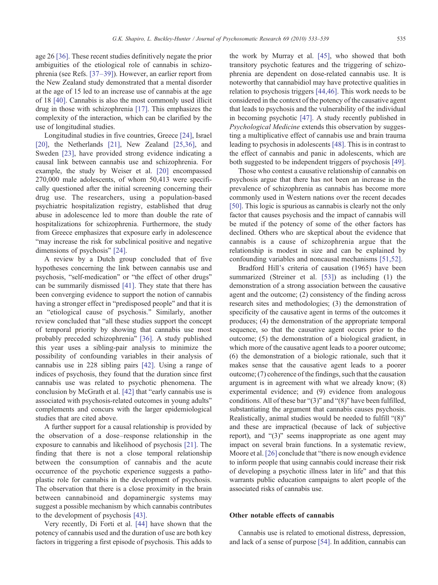use of longitudinal studies. Longitudinal studies in five countries, Greece [\[24\]](#page-5-0), Israel [\[20\],](#page-5-0) the Netherlands [\[21\],](#page-5-0) New Zealand [\[25,36\]](#page-5-0), and Sweden [\[23\]](#page-5-0), have provided strong evidence indicating a causal link between cannabis use and schizophrenia. For example, the study by Weiser et al. [\[20\]](#page-5-0) encompassed 270,000 male adolescents, of whom 50,413 were specifically questioned after the initial screening concerning their drug use. The researchers, using a population-based psychiatric hospitalization registry, established that drug abuse in adolescence led to more than double the rate of hospitalizations for schizophrenia. Furthermore, the study from Greece emphasizes that exposure early in adolescence "may increase the risk for subclinical positive and negative dimensions of psychosis" [\[24\]](#page-5-0).

drug in those with schizophrenia [\[17\].](#page-5-0) This emphasizes the complexity of the interaction, which can be clarified by the

A review by a Dutch group concluded that of five hypotheses concerning the link between cannabis use and psychosis, "self-medication" or "the effect of other drugs" can be summarily dismissed [\[41\]](#page-5-0). They state that there has been converging evidence to support the notion of cannabis having a stronger effect in "predisposed people" and that it is an "etiological cause of psychosis." Similarly, another review concluded that "all these studies support the concept of temporal priority by showing that cannabis use most probably preceded schizophrenia" [\[36\]](#page-5-0). A study published this year uses a sibling-pair analysis to minimize the possibility of confounding variables in their analysis of cannabis use in 228 sibling pairs [\[42\]](#page-5-0). Using a range of indices of psychosis, they found that the duration since first cannabis use was related to psychotic phenomena. The conclusion by McGrath et al. [\[42\]](#page-5-0) that "early cannabis use is associated with psychosis-related outcomes in young adults" complements and concurs with the larger epidemiological studies that are cited above.

A further support for a causal relationship is provided by the observation of a dose–response relationship in the exposure to cannabis and likelihood of psychosis [\[21\]](#page-5-0). The finding that there is not a close temporal relationship between the consumption of cannabis and the acute occurrence of the psychotic experience suggests a pathoplastic role for cannabis in the development of psychosis. The observation that there is a close proximity in the brain between cannabinoid and dopaminergic systems may suggest a possible mechanism by which cannabis contributes to the development of psychosis [\[43\]](#page-5-0).

Very recently, Di Forti et al. [\[44\]](#page-5-0) have shown that the potency of cannabis used and the duration of use are both key factors in triggering a first episode of psychosis. This adds to the work by Murray et al. [\[45\]](#page-5-0), who showed that both transitory psychotic features and the triggering of schizophrenia are dependent on dose-related cannabis use. It is noteworthy that cannabidiol may have protective qualities in relation to psychosis triggers [\[44,46\]](#page-5-0). This work needs to be considered in the context of the potency of the causative agent that leads to psychosis and the vulnerability of the individual in becoming psychotic [\[47\]](#page-5-0). A study recently published in Psychological Medicine extends this observation by suggesting a multiplicative effect of cannabis use and brain trauma leading to psychosis in adolescents [\[48\].](#page-5-0) This is in contrast to the effect of cannabis and panic in adolescents, which are both suggested to be independent triggers of psychosis [\[49\].](#page-5-0)

Those who contest a causative relationship of cannabis on psychosis argue that there has not been an increase in the prevalence of schizophrenia as cannabis has become more commonly used in Western nations over the recent decades [\[50\].](#page-5-0) This logic is spurious as cannabis is clearly not the only factor that causes psychosis and the impact of cannabis will be muted if the potency of some of the other factors has declined. Others who are skeptical about the evidence that cannabis is a cause of schizophrenia argue that the relationship is modest in size and can be explained by confounding variables and noncausal mechanisms [\[51,52\].](#page-5-0)

Bradford Hill's criteria of causation (1965) have been summarized (Streiner et al. [\[53\]\)](#page-5-0) as including (1) the demonstration of a strong association between the causative agent and the outcome; (2) consistency of the finding across research sites and methodologies; (3) the demonstration of specificity of the causative agent in terms of the outcomes it produces; (4) the demonstration of the appropriate temporal sequence, so that the causative agent occurs prior to the outcome; (5) the demonstration of a biological gradient, in which more of the causative agent leads to a poorer outcome; (6) the demonstration of a biologic rationale, such that it makes sense that the causative agent leads to a poorer outcome; (7) coherence of the findings, such that the causation argument is in agreement with what we already know; (8) experimental evidence; and (9) evidence from analogous conditions. All of these bar "(3)" and "(8)" have been fulfilled, substantiating the argument that cannabis causes psychosis. Realistically, animal studies would be needed to fulfill "(8)" and these are impractical (because of lack of subjective report), and "(3)" seems inappropriate as one agent may impact on several brain functions. In a systematic review, Moore et al. [\[26\]](#page-5-0) conclude that "there is now enough evidence to inform people that using cannabis could increase their risk of developing a psychotic illness later in life" and that this warrants public education campaigns to alert people of the associated risks of cannabis use.

# Other notable effects of cannabis

Cannabis use is related to emotional distress, depression, and lack of a sense of purpose [\[54\]](#page-5-0). In addition, cannabis can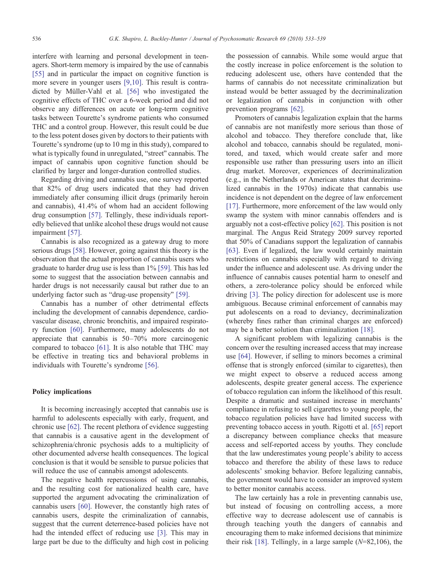interfere with learning and personal development in teenagers. Short-term memory is impaired by the use of cannabis [\[55\]](#page-5-0) and in particular the impact on cognitive function is more severe in younger users [\[9,10\].](#page-5-0) This result is contradicted by Müller-Vahl et al. [\[56\]](#page-5-0) who investigated the cognitive effects of THC over a 6-week period and did not observe any differences on acute or long-term cognitive tasks between Tourette's syndrome patients who consumed THC and a control group. However, this result could be due to the less potent doses given by doctors to their patients with Tourette's syndrome (up to 10 mg in this study), compared to what is typically found in unregulated, "street" cannabis. The impact of cannabis upon cognitive function should be clarified by larger and longer-duration controlled studies.

Regarding driving and cannabis use, one survey reported that 82% of drug users indicated that they had driven immediately after consuming illicit drugs (primarily heroin and cannabis), 41.4% of whom had an accident following drug consumption [\[57\].](#page-6-0) Tellingly, these individuals reportedly believed that unlike alcohol these drugs would not cause impairment [\[57\].](#page-6-0)

Cannabis is also recognized as a gateway drug to more serious drugs [\[58\]](#page-6-0). However, going against this theory is the observation that the actual proportion of cannabis users who graduate to harder drug use is less than 1% [\[59\].](#page-6-0) This has led some to suggest that the association between cannabis and harder drugs is not necessarily causal but rather due to an underlying factor such as "drug-use propensity" [\[59\]](#page-6-0).

Cannabis has a number of other detrimental effects including the development of cannabis dependence, cardiovascular disease, chronic bronchitis, and impaired respiratory function [\[60\].](#page-6-0) Furthermore, many adolescents do not appreciate that cannabis is 50–70% more carcinogenic compared to tobacco [\[61\].](#page-6-0) It is also notable that THC may be effective in treating tics and behavioral problems in individuals with Tourette's syndrome [\[56\]](#page-5-0).

## Policy implications

It is becoming increasingly accepted that cannabis use is harmful to adolescents especially with early, frequent, and chronic use [\[62\].](#page-6-0) The recent plethora of evidence suggesting that cannabis is a causative agent in the development of schizophrenia/chronic psychosis adds to a multiplicity of other documented adverse health consequences. The logical conclusion is that it would be sensible to pursue policies that will reduce the use of cannabis amongst adolescents.

The negative health repercussions of using cannabis, and the resulting cost for nationalized health care, have supported the argument advocating the criminalization of cannabis users [\[60\]](#page-6-0). However, the constantly high rates of cannabis users, despite the criminalization of cannabis, suggest that the current deterrence-based policies have not had the intended effect of reducing use [\[3\].](#page-4-0) This may in large part be due to the difficulty and high cost in policing

the possession of cannabis. While some would argue that the costly increase in police enforcement is the solution to reducing adolescent use, others have contended that the harms of cannabis do not necessitate criminalization but instead would be better assuaged by the decriminalization or legalization of cannabis in conjunction with other prevention programs [\[62\].](#page-6-0)

Promoters of cannabis legalization explain that the harms of cannabis are not manifestly more serious than those of alcohol and tobacco. They therefore conclude that, like alcohol and tobacco, cannabis should be regulated, monitored, and taxed, which would create safer and more responsible use rather than pressuring users into an illicit drug market. Moreover, experiences of decriminalization (e.g., in the Netherlands or American states that decriminalized cannabis in the 1970s) indicate that cannabis use incidence is not dependent on the degree of law enforcement [\[17\]](#page-5-0). Furthermore, more enforcement of the law would only swamp the system with minor cannabis offenders and is arguably not a cost-effective policy [\[62\].](#page-6-0) This position is not marginal. The Angus Reid Strategy 2009 survey reported that 50% of Canadians support the legalization of cannabis [\[63\]](#page-6-0). Even if legalized, the law would certainly maintain restrictions on cannabis especially with regard to driving under the influence and adolescent use. As driving under the influence of cannabis causes potential harm to oneself and others, a zero-tolerance policy should be enforced while driving [\[3\].](#page-4-0) The policy direction for adolescent use is more ambiguous. Because criminal enforcement of cannabis may put adolescents on a road to deviancy, decriminalization (whereby fines rather than criminal charges are enforced) may be a better solution than criminalization [\[18\].](#page-5-0)

A significant problem with legalizing cannabis is the concern over the resulting increased access that may increase use [\[64\].](#page-6-0) However, if selling to minors becomes a criminal offense that is strongly enforced (similar to cigarettes), then we might expect to observe a reduced access among adolescents, despite greater general access. The experience of tobacco regulation can inform the likelihood of this result. Despite a dramatic and sustained increase in merchants' compliance in refusing to sell cigarettes to young people, the tobacco regulation policies have had limited success with preventing tobacco access in youth. Rigotti et al. [\[65\]](#page-6-0) report a discrepancy between compliance checks that measure access and self-reported access by youths. They conclude that the law underestimates young people's ability to access tobacco and therefore the ability of these laws to reduce adolescents' smoking behavior. Before legalizing cannabis, the government would have to consider an improved system to better monitor cannabis access.

The law certainly has a role in preventing cannabis use, but instead of focusing on controlling access, a more effective way to decrease adolescent use of cannabis is through teaching youth the dangers of cannabis and encouraging them to make informed decisions that minimize their risk  $[18]$ . Tellingly, in a large sample  $(N=82,106)$ , the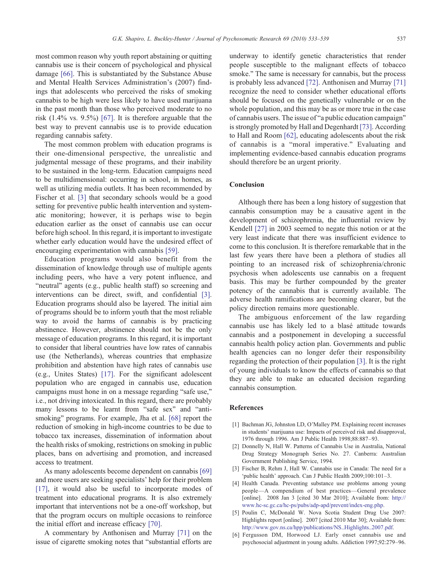<span id="page-4-0"></span>most common reason why youth report abstaining or quitting cannabis use is their concern of psychological and physical damage [\[66\].](#page-6-0) This is substantiated by the Substance Abuse and Mental Health Services Administration's (2007) findings that adolescents who perceived the risks of smoking cannabis to be high were less likely to have used marijuana in the past month than those who perceived moderate to no risk (1.4% vs. 9.5%) [\[67\].](#page-6-0) It is therefore arguable that the best way to prevent cannabis use is to provide education regarding cannabis safety.

The most common problem with education programs is their one-dimensional perspective, the unrealistic and judgmental message of these programs, and their inability to be sustained in the long-term. Education campaigns need to be multidimensional: occurring in school, in homes, as well as utilizing media outlets. It has been recommended by Fischer et al. [3] that secondary schools would be a good setting for preventive public health intervention and systematic monitoring; however, it is perhaps wise to begin education earlier as the onset of cannabis use can occur before high school. In this regard, it is important to investigate whether early education would have the undesired effect of encouraging experimentation with cannabis [\[59\].](#page-6-0)

Education programs would also benefit from the dissemination of knowledge through use of multiple agents including peers, who have a very potent influence, and "neutral" agents (e.g., public health staff) so screening and interventions can be direct, swift, and confidential [3]. Education programs should also be layered. The initial aim of programs should be to inform youth that the most reliable way to avoid the harms of cannabis is by practicing abstinence. However, abstinence should not be the only message of education programs. In this regard, it is important to consider that liberal countries have low rates of cannabis use (the Netherlands), whereas countries that emphasize prohibition and abstention have high rates of cannabis use (e.g., Unites States) [\[17\].](#page-5-0) For the significant adolescent population who are engaged in cannabis use, education campaigns must hone in on a message regarding "safe use," i.e., not driving intoxicated. In this regard, there are probably many lessons to be learnt from "safe sex" and "antismoking" programs. For example, Jha et al. [\[68\]](#page-6-0) report the reduction of smoking in high-income countries to be due to tobacco tax increases, dissemination of information about the health risks of smoking, restrictions on smoking in public places, bans on advertising and promotion, and increased access to treatment.

As many adolescents become dependent on cannabis [\[69\]](#page-6-0) and more users are seeking specialists' help for their problem [\[17\],](#page-5-0) it would also be useful to incorporate modes of treatment into educational programs. It is also extremely important that interventions not be a one-off workshop, but that the program occurs on multiple occasions to reinforce the initial effort and increase efficacy [\[70\]](#page-6-0).

A commentary by Anthonisen and Murray [\[71\]](#page-6-0) on the issue of cigarette smoking notes that "substantial efforts are underway to identify genetic characteristics that render people susceptible to the malignant effects of tobacco smoke." The same is necessary for cannabis, but the process is probably less advanced [\[72\].](#page-6-0) Anthonisen and Murray [\[71\]](#page-6-0) recognize the need to consider whether educational efforts should be focused on the genetically vulnerable or on the whole population, and this may be as or more true in the case of cannabis users. The issue of "a public education campaign" is strongly promoted by Hall and Degenhardt [\[73\]](#page-6-0). According to Hall and Room [\[62\],](#page-6-0) educating adolescents about the risk of cannabis is a "moral imperative." Evaluating and implementing evidence-based cannabis education programs should therefore be an urgent priority.

#### Conclusion

Although there has been a long history of suggestion that cannabis consumption may be a causative agent in the development of schizophrenia, the influential review by Kendell [\[27\]](#page-5-0) in 2003 seemed to negate this notion or at the very least indicate that there was insufficient evidence to come to this conclusion. It is therefore remarkable that in the last few years there have been a plethora of studies all pointing to an increased risk of schizophrenia/chronic psychosis when adolescents use cannabis on a frequent basis. This may be further compounded by the greater potency of the cannabis that is currently available. The adverse health ramifications are becoming clearer, but the policy direction remains more questionable.

The ambiguous enforcement of the law regarding cannabis use has likely led to a blasé attitude towards cannabis and a postponement in developing a successful cannabis health policy action plan. Governments and public health agencies can no longer defer their responsibility regarding the protection of their population [3]. It is the right of young individuals to know the effects of cannabis so that they are able to make an educated decision regarding cannabis consumption.

## References

- [1] Bachman JG, Johnston LD, O'Malley PM. Explaining recent increases in students' marijuana use: Impacts of perceived risk and disapproval, 1976 through 1996. Am J Public Health 1998;88:887–93.
- [2] Donnelly N, Hall W. Patterns of Cannabis Use in Australia, National Drug Strategy Monograph Series No. 27. Canberra: Australian Government Publishing Service, 1994.
- [3] Fischer B, Rehm J, Hall W. Cannabis use in Canada: The need for a 'public health' approach. Can J Public Health 2009;100:101–3.
- [4] Health Canada. Preventing substance use problems among young people—A compendium of best practices—General prevalence [online]. 2008 Jan 3 [cited 30 Mar 2010]; Available from: [http://](http://www.hc-c.gc.ca/hc-ubs/adppd/prevent/indexng.php) [www.hc-sc.gc.ca/hc-ps/pubs/adp-apd/prevent/index-eng.php.](http://www.hc-c.gc.ca/hc-ubs/adppd/prevent/indexng.php)
- [5] Poulin C, McDonald W. Nova Scotia Student Drug Use 2007: Highlights report [online]. 2007 [cited 2010 Mar 30]; Available from: [http://www.gov.ns.ca/hpp/publications/NS\\_Highlights\\_2007.pdf.](http://www.gov.ns.ca/hpp/publications/NS_Highlights_2007.pdf)
- [6] Fergusson DM, Horwood LJ. Early onset cannabis use and psychosocial adjustment in young adults. Addiction 1997;92:279–96.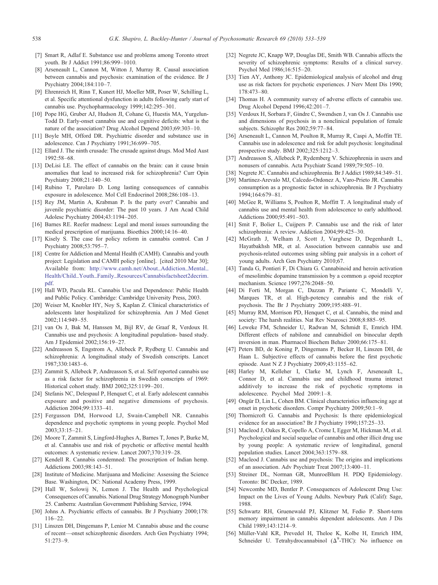- <span id="page-5-0"></span>[7] Smart R, Adlaf E. Substance use and problems among Toronto street youth. Br J Addict 1991;86:999–1010.
- [8] Arseneault L, Cannon M, Witton J, Murray R. Causal association between cannabis and psychosis: examination of the evidence. Br J Psychiatry 2004;184:110–7.
- [9] Ehrenreich H, Rinn T, Kunert HJ, Moeller MR, Poser W, Schilling L, et al. Specific attentional dysfunction in adults following early start of cannabis use. Psychopharmacology 1999;142:295–301.
- [10] Pope HG, Gruber AJ, Hudson JI, Cohane G, Huestis MA, Yurgelun-Todd D. Early-onset cannabis use and cognitive deficits: what is the nature of the association? Drug Alcohol Depend 2003;69:303–10.
- [11] Boyle MH, Offord DR. Psychiatric disorder and substance use in adolescence. Can J Psychiatry 1991;36:699–705.
- [12] Ellard J. The ninth crusade: The crusade against drugs. Mod Med Aust 1992:58–68.
- [13] DeLisi LE. The effect of cannabis on the brain: can it cause brain anomalies that lead to increased risk for schizophrenia? Curr Opin Psychiatry 2008;21:140–50.
- [14] Rubino T, Parolaro D. Long lasting consequences of cannabis exposure in adolescence. Mol Cell Endocrinol 2008;286:108–13.
- [15] Rey JM, Martin A, Krabman P. Is the party over? Cannabis and juvenile psychiatric disorder: The past 10 years. J Am Acad Child Adolesc Psychiatry 2004;43:1194–205.
- [16] Barnes RE. Reefer madness: Legal and moral issues surrounding the medical prescription of marijuana. Bioethics 2000;14:16–40.
- [17] Kisely S. The case for policy reform in cannabis control. Can J Psychiatry 2008;53:795–7.
- [18] Centre for Addiction and Mental Health (CAMH). Cannabis and youth project: Legislation and CAMH policy [online]. [cited 2010 Mar 30]; Available from: [http://www.camh.net/About\\_Addiction\\_Mental\\_](http://www.camh.net/About_Addiction_Mental_Health/Child_Youth_Family_Resources/Cannabisfactsheet2decrim.pdf) [Health/Child\\_Youth\\_Family\\_Resources/Cannabisfactsheet2decrim.](http://www.camh.net/About_Addiction_Mental_Health/Child_Youth_Family_Resources/Cannabisfactsheet2decrim.pdf) [pdf](http://www.camh.net/About_Addiction_Mental_Health/Child_Youth_Family_Resources/Cannabisfactsheet2decrim.pdf).
- [19] Hall WD, Pacula RL. Cannabis Use and Dependence: Public Health and Public Policy. Cambridge: Cambridge University Press, 2003.
- [20] Weiser M, Knobler HY, Noy S, Kaplan Z. Clinical characteristics of adolescents later hospitalized for schizophrenia. Am J Med Genet 2002;114:949–55.
- [21] van Os J, Bak M, Hanssen M, Bijl RV, de Graaf R, Verdoux H. Cannabis use and psychosis: A longitudinal population- based study. Am J Epidemiol 2002;156:19–27.
- [22] Andreasson S, Engstrom A, Allebeck P, Rydberg U. Cannabis and schizophrenia: A longitudinal study of Swedish conscripts. Lancet 1987;330:1483–6.
- [23] Zammit S, Allebeck P, Andreasson S, et al. Self reported cannabis use as a risk factor for schizophrenia in Swedish conscripts of 1969: Historical cohort study. BMJ 2002;325:1199–201.
- [24] Stefanis NC, Delespaul P, Henquet C, et al. Early adolescent cannabis exposure and positive and negative dimensions of psychosis. Addiction 2004;99:1333–41.
- [25] Fergusson DM, Horwood LJ, Swain-Campbell NR. Cannabis dependence and psychotic symptoms in young people. Psychol Med 2003;33:15–21.
- [26] Moore T, Zammit S, Lingford-Hughes A, Barnes T, Jones P, Burke M, et al. Cannabis use and risk of psychotic or affective mental health outcomes: A systematic review. Lancet 2007;370:319–28.
- [27] Kendell R. Cannabis condemned: The proscription of Indian hemp. Addictions 2003;98:143–51.
- [28] Institute of Medicine. Marijuana and Medicine: Assessing the Science Base. Washington, DC: National Academy Press, 1999.
- [29] Hall W, Solowij N, Lemon J. The Health and Psychological Consequences of Cannabis. National Drug Strategy Monograph Number 25. Canberra: Australian Government Publishing Service, 1994.
- [30] Johns A. Psychiatric effects of cannabis. Br J Psychiatry 2000;178: 116–22.
- [31] Linszen DH, Dingemans P, Lenior M. Cannabis abuse and the course of recent—onset schizophrenic disorders. Arch Gen Psychiatry 1994; 51:273–9.
- [32] Negrete JC, Knapp WP, Douglas DE, Smith WB. Cannabis affects the severity of schizophrenic symptoms: Results of a clinical survey. Psychol Med 1986;16:515–20.
- [33] Tien AY, Anthony JC. Epidemiological analysis of alcohol and drug use as risk factors for psychotic experiences. J Nerv Ment Dis 1990; 178:473–80.
- [34] Thomas H. A community survey of adverse effects of cannabis use. Drug Alcohol Depend 1996;42:201–7.
- [35] Verdoux H, Sorbara F, Gindre C, Swendsen J, van Os J. Cannabis use and dimensions of psychosis in a nonclinical population of female subjects. Schizophr Res 2002;59:77–84.
- [36] Arseneault L, Cannon M, Poulton R, Murray R, Caspi A, Moffitt TE. Cannabis use in adolescence and risk for adult psychosis: longitudinal prospective study. BMJ 2002;325:1212–3.
- [37] Andreasson S, Allebeck P, Rydemberg V. Schizophrenia in users and nonusers of cannabis. Acta Psychiatr Scand 1989;79:505–10.
- [38] Negrete JC. Cannabis and schizophrenia. Br J Addict 1989;84:349–51.
- [39] Martinez-Arevalo MJ, Calcedo-Ordonez A, Varo-Prieto JR. Cannabis consumption as a prognostic factor in schizophrenia. Br J Psychiatry 1994;164:679–81.
- [40] McGee R, Williams S, Poulton R, Moffitt T. A longitudinal study of cannabis use and mental health from adolescence to early adulthood. Addictions 2000;95:491–503.
- [41] Smit F, Bolier L, Cuijpers P. Cannabis use and the risk of later schizophrenia: A review. Addiction 2004;99:425–30.
- [42] McGrath J, Welham J, Scott J, Varghese D, Degenhardt L, Hayatbakhsh MR, et al. Association between cannabis use and psychosis-related outcomes using sibling pair analysis in a cohort of young adults. Arch Gen Psychiatry 2010;67.
- [43] Tanda G, Pontieri F, Di Chiara G. Cannabinoid and heroin activation of mesolimbic dopamine transmission by a common µ opoid receptor mechanism. Science 1997;276:2048–50.
- [44] Di Forti M, Morgan C, Dazzan P, Pariante C, Mondelli V, Marques TR, et al. High-potency cannabis and the risk of psychosis. The Br J Psychiatry 2009;195:488–91.
- [45] Murray RM, Morrison PD, Henquet C, et al. Cannabis, the mind and society: The harsh realities. Nat Rev Neurosci 2008;8:885–95.
- [46] Leweke FM, Schneider U, Radwan M, Schmidt E, Emrich HM. Different effects of nabilone and cannabidiol on binocular depth inversion in man. Pharmacol Biochem Behav 2000;66:175–81.
- [47] Peters BD, de Koning P, Dingemans P, Becker H, Linszen DH, de Haan L. Subjective effects of cannabis before the first psychotic episode. Aust N Z J Psychiatry 2009;43:1155–62.
- [48] Harley M, Kelleher I, Clarke M, Lynch F, Arseneault L, Connor D, et al. Cannabis use and childhood trauma interact additively to increase the risk of psychotic symptoms in adolescence. Psychol Med 2009:1–8.
- [49] Ongür D, Lin L, Cohen BM. Clinical characteristics influencing age at onset in psychotic disorders. Compr Psychiatry 2009;50:1–9.
- [50] Thornicroft G. Cannabis and Psychosis: Is there epidemiological evidence for an association? Br J Psychiatry 1990;157:25–33.
- [51] Macleod J, Oakes R, Copello A, Crome I, Egger M, Hickman M, et al. Psychological and social sequelae of cannabis and other illicit drug use by young people: A systematic review of longitudinal, general population studies. Lancet 2004;363:1579–88.
- [52] Macleod J. Cannabis use and psychosis: The origins and implications of an association. Adv Psychiatr Treat 2007;13:400–11.
- [53] Streiner DL, Norman GR, MunroeBlum H. PDQ Epidemiology. Toronto: BC Decker, 1989.
- [54] Newcombe MD, Bentler P. Consequences of Adolescent Drug Use: Impact on the Lives of Young Adults. Newbury Park (Calif): Sage, 1988.
- [55] Schwartz RH, Gruenewald PJ, Klitzner M, Fedio P. Short-term memory impairment in cannabis dependent adolescents. Am J Dis Child 1989;143:1214–9.
- [56] Müller-Vahl KR, Prevedel H, Theloe K, Kolbe H, Emrich HM, Schneider U. Tetrahydrocannabinol  $(\Delta^9$ -THC): No influence on